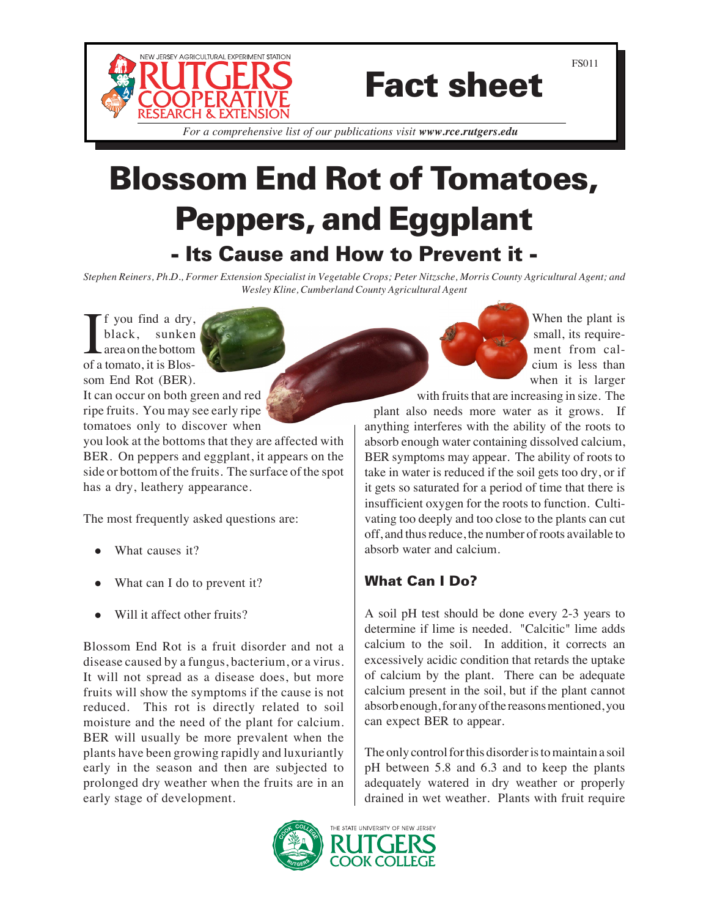

# Fact sheet

*For a comprehensive list of our publications visit www.rce.rutgers.edu*

## Blossom End Rot of Tomatoes, Peppers, and Eggplant - Its Cause and How to Prevent it -

*Stephen Reiners, Ph.D., Former Extension Specialist in Vegetable Crops; Peter Nitzsche, Morris County Agricultural Agent; and Wesley Kline, Cumberland County Agricultural Agent*

If you find a dry,<br>black, sunken<br>area on the bottom<br>of a tomato, it is Blosf you find a dry, black, sunken area on the bottom som End Rot (BER). It can occur on both green and red ripe fruits. You may see early ripe tomatoes only to discover when

you look at the bottoms that they are affected with BER. On peppers and eggplant, it appears on the side or bottom of the fruits. The surface of the spot has a dry, leathery appearance.

The most frequently asked questions are:

- What causes it?
- What can I do to prevent it?
- Will it affect other fruits?

Blossom End Rot is a fruit disorder and not a disease caused by a fungus, bacterium, or a virus. It will not spread as a disease does, but more fruits will show the symptoms if the cause is not reduced. This rot is directly related to soil moisture and the need of the plant for calcium. BER will usually be more prevalent when the plants have been growing rapidly and luxuriantly early in the season and then are subjected to prolonged dry weather when the fruits are in an early stage of development.

When the plant is small, its requirement from calcium is less than when it is larger

with fruits that are increasing in size. The plant also needs more water as it grows. If anything interferes with the ability of the roots to absorb enough water containing dissolved calcium, BER symptoms may appear. The ability of roots to take in water is reduced if the soil gets too dry, or if it gets so saturated for a period of time that there is insufficient oxygen for the roots to function. Cultivating too deeply and too close to the plants can cut off, and thus reduce, the number of roots available to absorb water and calcium.

### What Can I Do?

A soil pH test should be done every 2-3 years to determine if lime is needed. "Calcitic" lime adds calcium to the soil. In addition, it corrects an excessively acidic condition that retards the uptake of calcium by the plant. There can be adequate calcium present in the soil, but if the plant cannot absorb enough, for any of the reasons mentioned, you can expect BER to appear.

The only control for this disorder is to maintain a soil pH between 5.8 and 6.3 and to keep the plants adequately watered in dry weather or properly drained in wet weather. Plants with fruit require